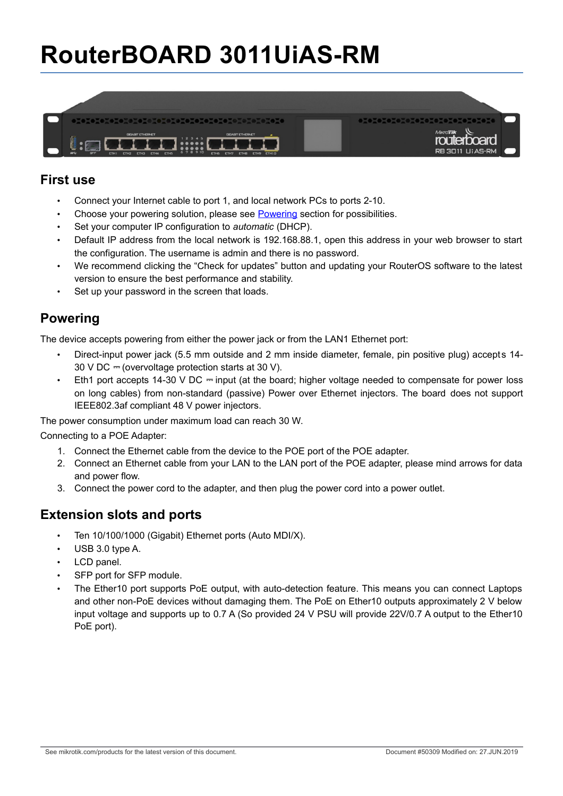# **RouterBOARD 3011UiAS-RM**



#### **First use**

- Connect your Internet cable to port 1, and local network PCs to ports 2-10.
- Choose your powering solution, please see [Powering](#page-0-0) section for possibilities.
- Set your computer IP configuration to *automatic* (DHCP).
- Default IP address from the local network is 192.168.88.1, open this address in your web browser to start the configuration. The username is admin and there is no password.
- We recommend clicking the "Check for updates" button and updating your RouterOS software to the latest version to ensure the best performance and stability.
- Set up your password in the screen that loads.

# <span id="page-0-0"></span>**Powering**

The device accepts powering from either the power jack or from the LAN1 Ethernet port:

- Direct-input power jack (5.5 mm outside and 2 mm inside diameter, female, pin positive plug) accepts 14-30 V DC  $=$  (overvoltage protection starts at 30 V).
- Eth1 port accepts 14-30 V DC  $=$  input (at the board; higher voltage needed to compensate for power loss on long cables) from non-standard (passive) Power over Ethernet injectors. The board does not support IEEE802.3af compliant 48 V power injectors.

The power consumption under maximum load can reach 30 W.

#### Connecting to a POE Adapter:

- 1. Connect the Ethernet cable from the device to the POE port of the POE adapter.
- 2. Connect an Ethernet cable from your LAN to the LAN port of the POE adapter, please mind arrows for data and power flow.
- 3. Connect the power cord to the adapter, and then plug the power cord into a power outlet.

#### **Extension slots and ports**

- Ten 10/100/1000 (Gigabit) Ethernet ports (Auto MDI/X).
- USB 3.0 type A.
- LCD panel.
- SFP port for SFP module.
- The Ether10 port supports PoE output, with auto-detection feature. This means you can connect Laptops and other non-PoE devices without damaging them. The PoE on Ether10 outputs approximately 2 V below input voltage and supports up to 0.7 A (So provided 24 V PSU will provide 22V/0.7 A output to the Ether10 PoE port).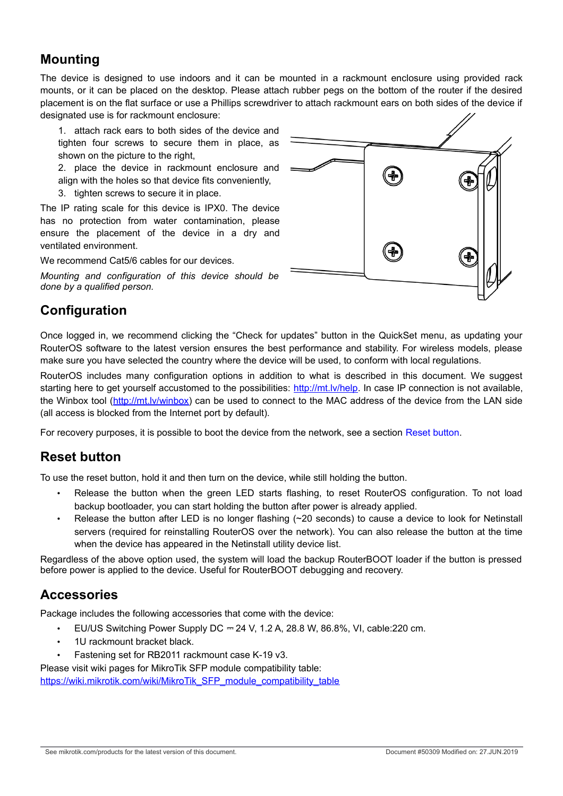### **Mounting**

The device is designed to use indoors and it can be mounted in a rackmount enclosure using provided rack mounts, or it can be placed on the desktop. Please attach rubber pegs on the bottom of the router if the desired placement is on the flat surface or use a Phillips screwdriver to attach rackmount ears on both sides of the device if designated use is for rackmount enclosure:

1. attach rack ears to both sides of the device and tighten four screws to secure them in place, as shown on the picture to the right,

2. place the device in rackmount enclosure and align with the holes so that device fits conveniently,

3. tighten screws to secure it in place.

The IP rating scale for this device is IPX0. The device has no protection from water contamination, please ensure the placement of the device in a dry and ventilated environment.

We recommend Cat5/6 cables for our devices.

*Mounting and configuration of this device should be done by a qualified person.*

# **Configuration**

Once logged in, we recommend clicking the "Check for updates" button in the QuickSet menu, as updating your RouterOS software to the latest version ensures the best performance and stability. For wireless models, please make sure you have selected the country where the device will be used, to conform with local regulations.

RouterOS includes many configuration options in addition to what is described in this document. We suggest starting here to get yourself accustomed to the possibilities: [http://mt.lv/help.](http://mt.lv/help) In case IP connection is not available, the Winbox tool [\(http://mt.lv/winbox\)](http://mt.lv/winbox) can be used to connect to the MAC address of the device from the LAN side (all access is blocked from the Internet port by default).

For recovery purposes, it is possible to boot the device from the network, see a section [Reset button.](#page-1-0)

#### <span id="page-1-0"></span>**Reset button**

To use the reset button, hold it and then turn on the device, while still holding the button.

- Release the button when the green LED starts flashing, to reset RouterOS configuration. To not load backup bootloader, you can start holding the button after power is already applied.
- Release the button after LED is no longer flashing (~20 seconds) to cause a device to look for Netinstall servers (required for reinstalling RouterOS over the network). You can also release the button at the time when the device has appeared in the Netinstall utility device list.

Regardless of the above option used, the system will load the backup RouterBOOT loader if the button is pressed before power is applied to the device. Useful for RouterBOOT debugging and recovery.

#### **Accessories**

Package includes the following accessories that come with the device:

- EU/US Switching Power Supply DC ⎓ 24 V, 1.2 A, 28.8 W, 86.8%, VI, cable:220 cm.
- 1U rackmount bracket black.
- Fastening set for RB2011 rackmount case K-19 v3.

Please visit wiki pages for MikroTik SFP module compatibility table:

[https://wiki.mikrotik.com/wiki/MikroTik\\_SFP\\_module\\_compatibility\\_table](https://wiki.mikrotik.com/wiki/MikroTik_SFP_module_compatibility_table)

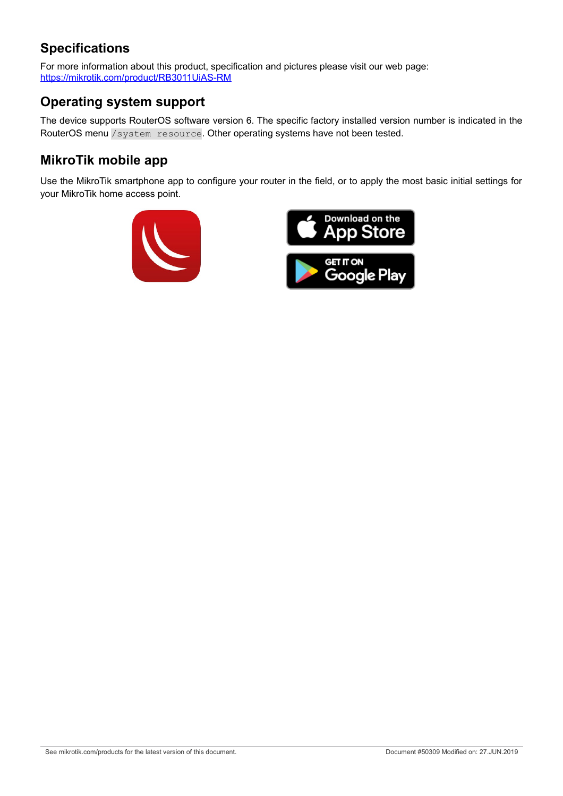# **Specifications**

For more information about this product, specification and pictures please visit our web page: <https://mikrotik.com/product/RB3011UiAS-RM>

# **Operating system support**

The device supports RouterOS software version 6. The specific factory installed version number is indicated in the RouterOS menu /system resource. Other operating systems have not been tested.

### **MikroTik mobile app**

Use the MikroTik smartphone app to configure your router in the field, or to apply the most basic initial settings for your MikroTik home access point.



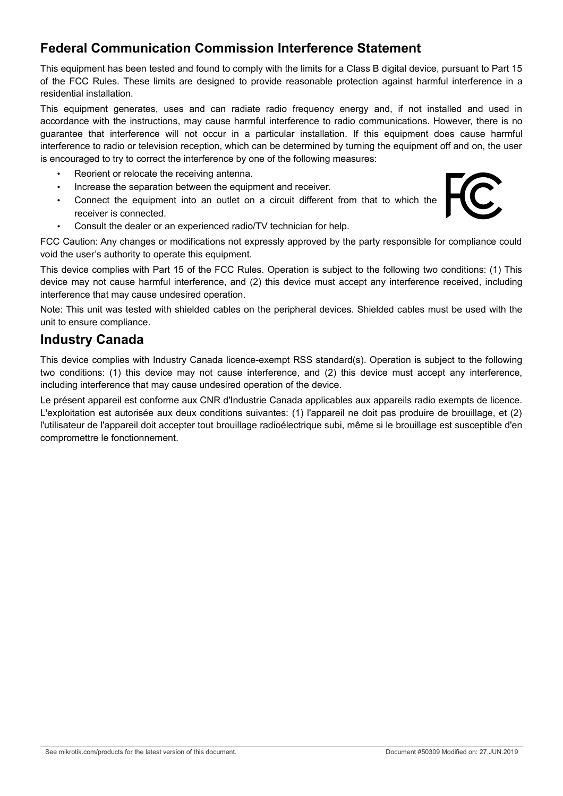# **Federal Communication Commission Interference Statement**

This equipment has been tested and found to comply with the limits for a Class B digital device, pursuant to Part 15 of the FCC Rules. These limits are designed to provide reasonable protection against harmful interference in a residential installation.

This equipment generates, uses and can radiate radio frequency energy and, if not installed and used in accordance with the instructions, may cause harmful interference to radio communications. However, there is no guarantee that interference will not occur in a particular installation. If this equipment does cause harmful interference to radio or television reception, which can be determined by turning the equipment off and on, the user is encouraged to try to correct the interference by one of the following measures:

- Reorient or relocate the receiving antenna.
- Increase the separation between the equipment and receiver.
- Connect the equipment into an outlet on a circuit different from that to which the receiver is connected.
- Consult the dealer or an experienced radio/TV technician for help.

FCC Caution: Any changes or modifications not expressly approved by the party responsible for compliance could void the user's authority to operate this equipment.

This device complies with Part 15 of the FCC Rules. Operation is subject to the following two conditions: (1) This device may not cause harmful interference, and (2) this device must accept any interference received, including interference that may cause undesired operation.

Note: This unit was tested with shielded cables on the peripheral devices. Shielded cables must be used with the unit to ensure compliance.

#### **Industry Canada**

This device complies with Industry Canada licence-exempt RSS standard(s). Operation is subject to the following two conditions: (1) this device may not cause interference, and (2) this device must accept any interference, including interference that may cause undesired operation of the device.

Le présent appareil est conforme aux CNR d'Industrie Canada applicables aux appareils radio exempts de licence. L'exploitation est autorisée aux deux conditions suivantes: (1) l'appareil ne doit pas produire de brouillage, et (2) l'utilisateur de l'appareil doit accepter tout brouillage radioélectrique subi, même si le brouillage est susceptible d'en compromettre le fonctionnement.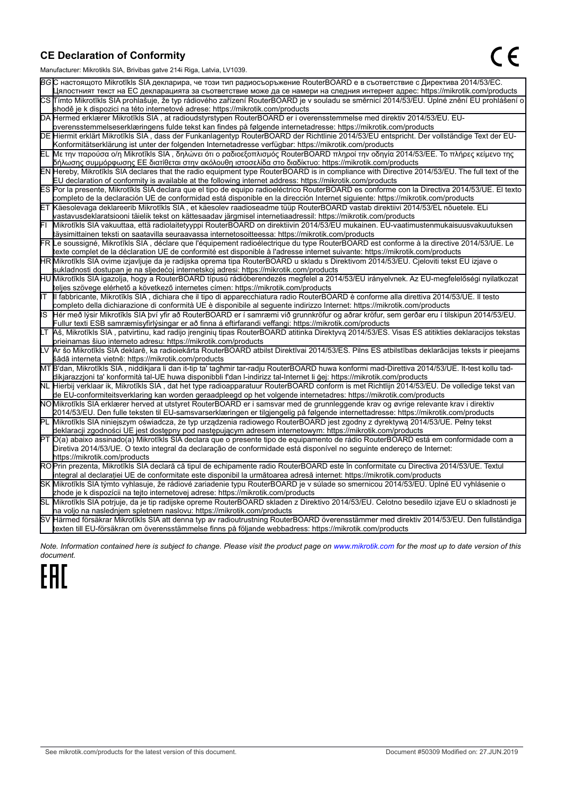#### **CE Declaration of Conformity**

Manufacturer: Mikrotikls SIA, Brivibas gatve 214i Riga, Latvia, LV1039.

|    | ividiTulacturer. Mintounis OIA, Drividas gatve Z 141 inga, Latvia, Lv 1009.                                                                                                                                                                     |
|----|-------------------------------------------------------------------------------------------------------------------------------------------------------------------------------------------------------------------------------------------------|
|    | ВСС настоящото Mikrotīkls SIA декларира, че този тип радиосъоръжение RouterBOARD е в съответствие с Директива 2014/53/ЕС.                                                                                                                       |
|    | Цялостният текст на ЕС декларацията за съответствие може да се намери на следния интернет адрес: https://mikrotik.com/products                                                                                                                  |
|    | CS∏ímto Mikrotīkls SIA prohlašuje, že typ rádiového zařízení RouterBOARD je v souladu se směrnicí 2014/53/EU. Úplné znění EU prohlášení o                                                                                                       |
|    | shodě je k dispozici na této internetové adrese: https://mikrotik.com/products                                                                                                                                                                  |
|    | DA Hermed erklærer Mikrotīkls SIA, at radioudstyrstypen RouterBOARD er i overensstemmelse med direktiv 2014/53/EU. EU-                                                                                                                          |
|    | overensstemmelseserklæringens fulde tekst kan findes på følgende internetadresse: https://mikrotik.com/products                                                                                                                                 |
|    | DE Hiermit erklärt Mikrotīkls SIA , dass der Funkanlagentyp RouterBOARD der Richtlinie 2014/53/EU entspricht. Der vollständige Text der EU-                                                                                                     |
|    | Konformitätserklärung ist unter der folgenden Internetadresse verfügbar: https://mikrotik.com/products                                                                                                                                          |
|    | ΕL Με την παρούσα ο/η Mikrotīkls SIA , δηλώνει ότι ο ραδιοεξοπλισμός RouterBOARD πληροί την οδηγία 2014/53/ΕΕ. Το πλήρες κείμενο της<br>δήλωσης συμμόρφωσης ΕΕ διατίθεται στην ακόλουθη ιστοσελίδα στο διαδίκτυο: https://mikrotik.com/products |
|    | EN Hereby, Mikrotīkls SIA declares that the radio equipment type RouterBOARD is in compliance with Directive 2014/53/EU. The full text of the                                                                                                   |
|    | EU declaration of conformity is available at the following internet address: https://mikrotik.com/products                                                                                                                                      |
|    | ES Por la presente, Mikrotīkls SIA declara que el tipo de equipo radioeléctrico RouterBOARD es conforme con la Directiva 2014/53/UE. El texto                                                                                                   |
|    | completo de la declaración UE de conformidad está disponible en la dirección Internet siguiente: https://mikrotik.com/products                                                                                                                  |
|    | ET Käesolevaga deklareerib Mikrotīkls SIA , et käesolev raadioseadme tüüp RouterBOARD vastab direktiivi 2014/53/EL nõuetele. ELi                                                                                                                |
|    | vastavusdeklaratsiooni täielik tekst on kättesaadav järgmisel internetiaadressil: https://mikrotik.com/products                                                                                                                                 |
|    | Mikrotīkls SIA vakuuttaa, että radiolaitetyyppi RouterBOARD on direktiivin 2014/53/EU mukainen. EU-vaatimustenmukaisuusvakuutuksen                                                                                                              |
|    | täysimittainen teksti on saatavilla seuraavassa internetosoitteessa: https://mikrotik.com/products                                                                                                                                              |
|    | FR Le soussigné, Mikrotīkls SIA , déclare que l'équipement radioélectrique du type RouterBOARD est conforme à la directive 2014/53/UE. Le                                                                                                       |
|    | texte complet de la déclaration UE de conformité est disponible à l'adresse internet suivante: https://mikrotik.com/products                                                                                                                    |
|    | HR∭likrotīkls SIA ovime izjavljuje da je radijska oprema tipa RouterBOARD u skladu s Direktivom 2014/53/EU. Cjeloviti tekst EU izjave o                                                                                                         |
|    | sukladnosti dostupan je na sljedećoj internetskoj adresi: https://mikrotik.com/products                                                                                                                                                         |
|    | HU∭Nikrotīkls SIA igazolja, hogy a RouterBOARD típusú rádióberendezés megfelel a 2014/53/EU irányelvnek. Az EU-megfelelőségi nyilatkozat                                                                                                        |
|    | teljes szövege elérhető a következő internetes címen: https://mikrotik.com/products                                                                                                                                                             |
|    | Il fabbricante, Mikrotīkls SIA, dichiara che il tipo di apparecchiatura radio RouterBOARD è conforme alla direttiva 2014/53/UE. Il testo                                                                                                        |
|    | completo della dichiarazione di conformità UE è disponibile al seguente indirizzo Internet: https://mikrotik.com/products                                                                                                                       |
| IS | Hér með lýsir Mikrotīkls SIA því yfir að RouterBOARD er í samræmi við grunnkröfur og aðrar kröfur, sem gerðar eru í tilskipun 2014/53/EU.                                                                                                       |
|    | Fullur texti ESB samræmisyfirlýsingar er að finna á eftirfarandi veffangi: https://mikrotik.com/products                                                                                                                                        |
|    | Aš, Mikrotīkls SIA, patvirtinu, kad radijo įrenginių tipas RouterBOARD atitinka Direktyvą 2014/53/ES. Visas ES atitikties deklaracijos tekstas                                                                                                  |
|    | prieinamas šiuo interneto adresu: https://mikrotik.com/products                                                                                                                                                                                 |
|    | Ar šo Mikrotīkls SIA deklarē, ka radioiekārta RouterBOARD atbilst Direktīvai 2014/53/ES. Pilns ES atbilstības deklarācijas teksts ir pieejams                                                                                                   |
|    | šādā interneta vietnē: https://mikrotik.com/products                                                                                                                                                                                            |
|    | MT B'dan, Mikrotīkls SIA, niddikjara li dan it-tip ta' tagħmir tar-radju RouterBOARD huwa konformi mad-Direttiva 2014/53/UE. It-test kollu tad-                                                                                                 |
|    | dikjarazzjoni ta' konformità tal-UE huwa disponibbli f'dan l-indirizz tal-Internet li ġej: https://mikrotik.com/products                                                                                                                        |
|    | NL  Hierbij verklaar ik, Mikrotīkls SIA , dat het type radioapparatuur RouterBOARD conform is met Richtlijn 2014/53/EU. De volledige tekst van                                                                                                  |
|    | de EU-conformiteitsverklaring kan worden geraadpleegd op het volgende internetadres: https://mikrotik.com/products                                                                                                                              |
|    | NOMikrotīkls SIA erklærer herved at utstyret RouterBOARD er i samsvar med de grunnleggende krav og øvrige relevante krav i direktiv                                                                                                             |
|    | 2014/53/EU. Den fulle teksten til EU-samsvarserklæringen er tilgjengelig på følgende internettadresse: https://mikrotik.com/products                                                                                                            |
|    | PL Mikrotīkls SIA niniejszym oświadcza, że typ urządzenia radiowego RouterBOARD jest zgodny z dyrektywą 2014/53/UE. Pełny tekst                                                                                                                 |
|    | deklaracji zgodności UE jest dostępny pod następującym adresem internetowym: https://mikrotik.com/products                                                                                                                                      |
|    | PT O(a) abaixo assinado(a) Mikrotīkls SIA declara que o presente tipo de equipamento de rádio RouterBOARD está em conformidade com a                                                                                                            |
|    | Diretiva 2014/53/UE. O texto integral da declaração de conformidade está disponível no seguinte endereço de Internet:                                                                                                                           |
|    | https://mikrotik.com/products                                                                                                                                                                                                                   |
|    | ROPrin prezenta, Mikrotīkls SIA declară că tipul de echipamente radio RouterBOARD este în conformitate cu Directiva 2014/53/UE. Textul                                                                                                          |
|    | integral al declarației UE de conformitate este disponibil la următoarea adresă internet: https://mikrotik.com/products                                                                                                                         |
|    | SK Mikrotīkls SIA týmto vyhlasuje, že rádiové zariadenie typu RouterBOARD je v súlade so smernicou 2014/53/EÚ. Úplné EÚ vyhlásenie o                                                                                                            |
|    | zhode je k dispozícii na tejto internetovej adrese: https://mikrotik.com/products                                                                                                                                                               |
|    | SL Mikrotīkls SIA potrjuje, da je tip radijske opreme RouterBOARD skladen z Direktivo 2014/53/EU. Celotno besedilo izjave EU o skladnosti je                                                                                                    |
|    | na voljo na naslednjem spletnem naslovu: https://mikrotik.com/products                                                                                                                                                                          |
|    | SV Härmed försäkrar Mikrotīkls SIA att denna typ av radioutrustning RouterBOARD överensstämmer med direktiv 2014/53/EU. Den fullständiga                                                                                                        |
|    | texten till EU-försäkran om överensstämmelse finns på följande webbadress: https://mikrotik.com/products                                                                                                                                        |

*Note. Information contained here is subject to change. Please visit the product page on [www.mikrotik.com](http://www.mikrotik.com/) for the most up to date version of this document.*